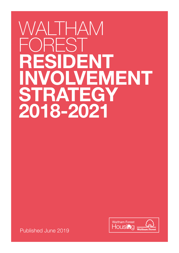# WALTHAM REST **RESIDENT DLVEMENT STRATEGY 2018-2021**



Published June 2019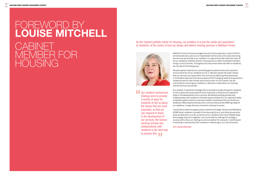Our resident involvement strategy aims to provide a variety of ways for residents to tell us about the issues that are most important, so that we can respond to these in the development of our services. We believe working actively and collaboratively with residents is the best way to achieve this. "

#### As the Cabinet portfolio holder for Housing, my ambition is to put the needs and aspirations of residents' at the centre of how we design and deliver housing services in Waltham Forest.



# FOREWORD BY **LOUISE MITCHELL CABINET** MEMBER FOR HOUSING

Waltham Forest Housing manages around 12,000 properties, 10,000 of which are tenanted and 2,000 council leaseholder homes and continually improving the services we provide to our resident's is a key priority. We value the input of all our residents, whether tenants, homeowners or other household members living in council homes. Throughout this document when we refer to residents,

we include all of these groups.

We place great importance in providing good quality homes and a positive environment for all our residents to live in. We also realise the wider impact that our services can have within the community affecting life experiences. It is therefore essential that we are aware of the changing needs and aspirations residents have for their homes and communities. For this reason, we are committed to involving our residents in decisions made about our housing and the services we provide.

Our resident involvement strategy aims to provide a variety of ways for residents to tell us about the issues that are most important, so that we can respond to these in the development of our services. We believe working actively and collaboratively with residents is the best way to achieve this. Our approach seeks to develop opportunities to maximise resident involvement from across all our residents, reflecting the diversity of our communities and the differing needs of our residents, in ways that are convenient and easy to access.

I would like to take this opportunity to thank the Strategic Tenants and Residents (STAR) Panel, residents involved in the Housing forums, and other groups who have worked with us so far, as well as all our residents who have helped shape the strategy and put it together. I am committed to making this strategy a success with a focus on making our services better for everyone. I look forward to working in partnership with residents in delivering on our commitments.

**Cllr Louise Mitchell**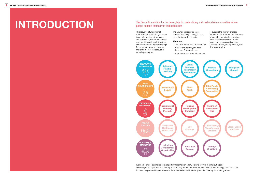# TRODUCTION The Council's ambition for the borough is to create strong and sustainable communities where<br>people support themselves and each other.

### people support themselves and each other.

This requires a fundamental transformation of the way we work, in our relationship with residents and businesses, in how we connect communities and people together, in how we harness new technology for the greater good and how we make the most of the borough's amazing strengths.



Waltham Forest Housing is a central part of this ambition and will play a key role in contributing and delivering on all aspects of the Creating Futures programme. The WFH Resident Involvement Strategy has a particular focus on the practical implementation of the New Relationships Principle of the Creating Future Programme.

The Council has adopted three priorities following our biggest ever consultation with residents.

#### **These are:**

- Keep Waltham Forest clean and safe
- Work to ensure everyone has a decent roof over their head
- Improve our residents' life chances.

To support the delivery of these ambitions and priorities in the context of a rapidly changing local, regional and national context the Council has set out a new way of working – Creating Futures, underpinned by five driving principles: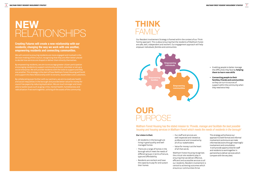# **NEW** RELATIONSHIPS

## **THINK** FAMILY

**Creating Futures will create a new relationship with our residents; changing the way we work with one another, empowering residents and connecting communities.** 

We will commit to ensuring residents are more engaged and involved in the decision making of the Council, recognising that they are often better placed to decide how services are shaped or deliver them directly themselves.

By empowering residents, we aim to encourage greater citizen participation encouraging residents to support community activism; volunteer or set up a social enterprise. We will provide residents with the tools to support and help one another. This strategy is the start of how Waltham Forest Housing will build and support this New Relationship with its tenants, leaseholders and customers.

By collaborating even further with our partners, we aim to eradicate health and social inequalities in the borough and provide better value for money for council tax payers by reducing duplication. We are much stronger and more able to tackle issues such as gang crime, mental health, homelessness and radicalisation if we work together, utilising all the assets of the community.

Our Resident Involvement Strategy is framed within the context of our Think Family approach. This is about ensuring that the residents of Waltham Forest are safe, well, independent and resilient. Our engagement approach will help *empower individuals, families and communities.*

Waltham Forest Housing has the stated mission to:*'Provide, manage and facilitate the best possible housing and housing services in Waltham Forest which meets the needs of residents in the borough'*



- Enabling people to better manage the difficulties they face by **helping them to learn new skills**
- **Connecting people to their families, friends and communities**  so they can turn to sources of support within the community when they need extra help

# **OUR** PURPOSE

#### **Our vision is that:**

- All residents in the borough are living in good quality and well managed homes
- There are a range of homes in the borough which meet the needs of different groups in terms of tenure, type and affordability
- Residents are resilient and have the capacity to pay for and sustain their homes
- Our staff and services are well respected and viewed as professional and innovative by all of our stakeholders
- Value for money is at the heart of all that we do.

Waltham Forest Housing recognises the critical role residents play in ensuring that we deliver effective, efficient and accessible services to all our residents. Resident involvement is central to achieving outcomes which ensure our communities thrive.

This strategy will enhance our approach to both formal and informal involvement and ensure we make informed decisions through meaningful involvement and consultation. It will provide opportunities for staff and residents to work together in partnership to deliver services which compare with the very best.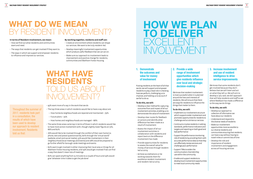# **WHAT DO WE MEAN**  BY RESIDENT INVOLVEMENT?

#### **In terms of Resident Involvement, we mean:**

- How we find out what residents and communities want and need.
- The ways that residents can get involved if they want to.
- The ways in which we support and empower residents to influence and improve our services.

### **WHAT HAVE RESIDENTS**  OID US ARC ION  $I$

- 93% want more of a say in the work that we do
- The top three areas in which residents would like to have a say about are:
- How homes & neighbourhoods are repaired and maintained 79%
- Future plans 74%
- How homes and neighbourhoods are managed 68%
- The same three areas came top in terms of those in which residents would like to have more active involvement with, though slightly lower figures at 73%, 66% and 62%
- 76% would like to be involved through the comfort of their own home (i.e. phone, text and postal questionnaires), 60% through the 'virtual world' (website, email and social media), 53% would like involvement in their neighbourhood (local meetings and events) and 28% would be prepared to go further afield for borough-wide meetings and events
- 60% want to get involved in either improving their local area or things for all Waltham Forest Housing residents, and 19% would get involved if we can find a way that doesn't mean lots of meetings
- 82% can spare anything from 15 minutes to a couple of hours and 19% would give 'whatever time it takes to get the job done'

# **HOW WE PLAN TO DELIVER**  EXCELLENT INVOLVEMENT

### **1. Demonstrate the outcomes and value for money of involvement**

Putting residents at the heart of all that we do, we will support and empower residents to play a lead role in checking how we perform, challenging us to improve, and holding us to account if we fail to do so.

#### **To do this, we will:**

- Develop a clear method for capturing outcomes from and impact of all our involvement activities, enabling us to demonstrate the value of involvement
- Develop clear routes for feedback on actions and identify what difference has been made as a result of involvement
- Assess the impact of all our involvement activities in collaboration with residents and report back on the difference involvement has made
- Provide opportunities for residents to assess the overall value for money of services through residentled scrutiny
- Achieve accreditations or be working towards them for excellence resident involvement and resident-led scrutiny

### **3. Increase involvement and use of resident intelligence to drive service improvements**

We know that some residents don't get involved because they don't believe that we will listen and act on what they tell us. We will aim to develop a 'you said, we did' approach that will help residents and staff to see where feedback has made a difference to the way we do things.

#### **To do this, we will:**

- Develop our approach to collection of information we have about our residents
- Understand and respond to the diverse needs of residents
- Make our involvement opportunities more accessible to our diverse residents and communities ensuring that residents can have a say without having to travel miles or commit lots of time
- Develop the role and importance of resident involvement and engagement across all housing services

### **2. Provide a wide range of involvement opportunities which give residents influence over local and strategic decision-making**

We know that resident involvement is most successful when it is planned around the lives and interests of residents. We will ensure that there are ways for residents to influence the things that matter to them.

#### **To do this, we will:**

• Continue to involve residents in setting

- Implement our involvement structure which supports wider involvement and promotes opportunities for residents to challenge and scrutinise our services
- standards, performance indicators and targets and reporting on both good and bad performance
- Support the performance monitoring role of residents by providing them with accurate performance data so that they can effectively review services and challenge poor performance
- Support TRAs to widen the communication channels they use within the community
- Enable and support residents to develop local involvement opportunities to meet local community needs

#### **By working together, residents and staff can:**

- Create an environment where residents can shape our services. We want to be truly resident-led.
- Develop meaningful involvement opportunities which produce useful feedback that we can act on.
- Make sure our approach to involvement leads to improvement and positive change for residents, communities and Waltham Forest Housing.

Throughout the summer of 2017, residents took part in a consultation, the results of which have been used to develop our approach to resident involvement. Residents told us that: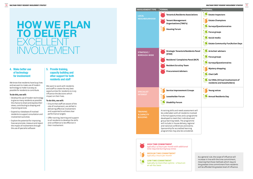# **HOW WE PLAN TO DELIVER**  EXCELLENT INVOLVEMENT

### **4. Make better use of technology for involvement**

We know that residents have busy lives and we want to make use of modern technology to make it as easy as possible for residents to contribute.

#### **To do this, we will:**

- Develop the use of modern technology to give as many residents as possible the chance to share and express their views, contributing to shaping and improving services
- Expand our database of involved residents to support consultation and involvement activities
- Explore the potential for improving how we promote, measure and report the impact of involvement through the use of specialist software

#### **5. Provide training, capacity building and other support for both residents and staff**

We want to work with residents and staff to create the very best opportunities for residents to truly influence the decisions which impact on their lives.

#### **To do this, we will:**

- Ensure that staff are aware of the role of involvement, are skilled in delivering effective involvement and supported to achieve clear performance targets
- Offer training, learning and support to all residents to develop the skills and confidence to be effective in their involvement

| <b>INVOLVEMENT TYPE</b>                                     | <b>FORMAL</b>                                                                                                                                                                                                                                                                                                                                                                         | <b>INFORMAL</b>                                                                                                                                                                                    |
|-------------------------------------------------------------|---------------------------------------------------------------------------------------------------------------------------------------------------------------------------------------------------------------------------------------------------------------------------------------------------------------------------------------------------------------------------------------|----------------------------------------------------------------------------------------------------------------------------------------------------------------------------------------------------|
| <b>LOCAL</b><br><b>NEIGHBOURHOOD</b>                        | <b>Tenants &amp; Residents Associations</b><br><b>Tenant Management</b><br><b>Organisations (TMO's)</b><br><b>Housing Forum</b>                                                                                                                                                                                                                                                       | <b>Estate Inspectors</b><br><b>Estate Champions</b><br>Surveys/Questionnaires<br><b>Focus groups</b><br>Social media<br><b>Estate Community Fun/Action Days</b>                                    |
| <b>STRATEGIC/</b><br><b>BOROUGH-WIDE</b>                    | <b>Strategic Tenants &amp; Residents Panel</b><br>(STAR)<br><b>Residents' Complaints Panel (RCP)</b><br><b>Resident Scrutiny Team</b><br><b>Procurement Advisers</b>                                                                                                                                                                                                                  | <b>Armchair advisers</b><br><b>Focus groups</b><br><b>Surveys/Questionnaires</b><br><b>Mystery shopping</b><br><b>Chat Café</b><br>Go VIRAL (Virtual involvement of<br>residents and leaseholders) |
| <b>SPECIALIST</b><br><b>INTEREST</b>                        | <b>Service Improvement Groups</b><br>Leaseholder Forum<br><b>Disability Forum</b>                                                                                                                                                                                                                                                                                                     | <b>Young voices</b><br><b>Annual Residents Day</b>                                                                                                                                                 |
| <b>TRAINING</b><br><b>&amp; CAPACITY</b><br><b>BUILDING</b> | A training skills and needs assessment will<br>be undertaken with all residents involved<br>in formal opportunities and a programme<br>developed to meet their individual and<br>group learning needs. The programme<br>will include in-house delivery, regional<br>and national conferences and events.<br>Sponsorship for accredited learning<br>programmes may also be considered. |                                                                                                                                                                                                    |

**LOW TIME COMMITMENT** typically no more than 15mins – 2 hours on an ad-hoc basis

**MEDIUM TIME COMMITMENT** typically 2 hours per month



**HIGH TIME COMMITMENT**

typically 2-4 hours per month with additional time required during busy times

> As a general rule, the scope of influence will increase in line with the time commitment, meaning that those methods which require the greatest time commitment from residents will be afforded the greatest level of influence.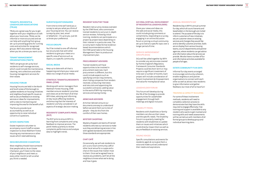#### **TENANTS, RESIDENTS & LEASEHOLDER ASSOCIATIONS (TRLAS)**

TRLAs are a great way for you to get together with your neighbours to talk about your local area. TRLAs can be informal or more structured and we can help with anything from group set-up to providing grants for running costs and activities for recognised groups. We'll also attend meetings when you let us know you want us to.

#### **TENANT MANAGEMENT ORGANISATIONS (TMO'S)**

TMO's are groups set up by local residents to self-manage services, which could include the maintenance, cleaning, rent collections and other housing management services for their estate.

#### **HOUSING FORUM**

Housing Forums are held in the North and South areas of the borough to update residents on housing initiatives and neighbourhood specific issues as well as secure feedback on existing services or ideas for improvements, with a view to maintaining and improving the area for the benefit of all.

The forums provide local accountability as well as an opportunity to raise individual concerns or questions.

#### **ESTATE INSPECTORS**

Estate inspectors volunteer to accompany council staff on estate inspection to show Waltham Forest Housing any maintenance or other issues which need addressing.

#### **NEIGHBOURHOOD CHAMPIONS**

Most neighbourhoods have someone that people talk to. As an Estate Champion, you'll listen to the views of your neighbours and meet us every other month to tell us what you think is needed.

#### **SURVEYS/QUESTIONNAIRES**

From time to time we'll send you a survey to ask you what you think of your housing service. You can receive surveys by post, text, email or telephone – it's up to you. Just let us know your preference.

#### **FOCUS GROUPS**

You'll be invited to one-off informal but structured chat with other residents to give your views on a specific area of service such as repairs, or a specific community.

#### **SOCIAL MEDIA**

Keep up to date with all that is happening and share your views and ideas via a range of social media.

#### **STRATEGIC TENANTS & RESIDENTS PANEL (STAR)**

Working with senior managers from Waltham Forest Housing, STAR members ensure residents' priorities and views are at the heart of all that WFH does, advising and informing on key issues affecting residents and ensuring that the interests of residents' are fully considered in all aspects of strategic decision making.

#### **RESIDENTS' COMPLAINTS PANEL (RCP)**

The RCP aims to ensure WFH is learning from complaints and using feedback to improve services. The panel meets quarterly to review complaints performance and analyse data to highlight trends.

**RESIDENT SCRUTINY TEAM**

Resident-led scrutiny reviews overseen by the STAR Panel, who commission trained residents to carry out in-depth service reviews. Following initial training, residents can participate on a project by project basis depending on their interest in a particular area. The scrutiny team makes formal evidencebased recommendations which the STAR panel take to the Housing Management Team to produce an

improvement plan.

**PROCUREMENT ADVISERS** Trained residents will have opportunities to be involved in procurement exercises. Each procurement is different, but this could include aspects such as specifying contract requirements, short-listing companies from tenders received, conducting interviews and site visits and appointing the successful contractor, adding value to the work of WFH by improving services and saving money.

**ARMCHAIR ADVISERS**

Armchair Advisers ensure our documents are easy to understand before we send them out to lots of people – they do this from the comfort of their own homes.

**MYSTERY SHOPPING**

Mystery shoppers are teams of trained residents who test our services to make sure they are delivering services in line with agreed standards and whether those standards are appropriate.

#### **CHAT CAFÉ**

Occasionally, we will ask residents to join us at a local community café or other local venue for a cuppa and a chat on the issues that matter most to them. Once we've agreed how to resolve any problems, we'll let all the neighbours know what we're doing and how it goes.

#### **GO VIRAL (VIRTUAL INVOLVEMENT OF RESIDENTS & LEASEHOLDERS )**

Share your views and ideas via the web and social media, this could include giving comments or compliments, responding to a survey, engaging in an online discussion forum or joining a virtual community set up to look at a specific topic over a longer period of time.

#### **SERVICE IMPROVEMENT GROUPS (SIGS)**

SIGs will be called together by WFH to consider any service area covered by Homes England's Regulatory Framework Consumer Standards. Projects could be short-term or may require a significant investment of time over a number of months. Each project will include consideration of Tenant Involvement & Empowerment and value for money/social value.

#### **LEASEHOLDER FORUM**

This Forum will develop during the life of the Strategy to provide opportunities for Leaseholder engagement through both meetings and digital inclusion.

#### **DISABILITY PANEL**

Residents with disabilities or family members can discuss their views and the specific needs. The Disability Forum is a quarterly meeting for residents with disabilities to update them on issues and initiatives which could directly impact them as well as secure feedback on existing services.

#### **YOUNG VOICES**

Specific consultations and events for residents aged 16-25 to give them a voice and make sure we understand their needs and aspirations.

#### **ANNUAL RESIDENTS DAY**

Residents Day is WFH's annual summer fun day, which all council tenants and leaseholders in the borough are invited to attend. The purpose of the day is to inform customers of new initiatives, secure customer views on existing services and changes they would like and to identify customer priorities. Stalls are on display from various housing teams, council departments and partner agencies, where residents can get advice and information about the services we provide. We also have a number of fun and informative activities available for people of all ages.

#### **ESTATE COMMUNITY FUN DAYS**

Informal fun day events arranged to encourage community cohesion, enable neighbours and partner organisations to connect with each other as well as attract new residents to give information and gather feedback, but most of all to have fun!

#### **TRAINING & CAPACITY BUILDING**

For some of these involvement methods, residents will need to complete a selection process to demonstrate that they have the skills required to engage effectively. Free training and support is available to any resident who wants to get involved and training skills and needs assessments will be carried out with members of all formal groups to develop group and individual learning plans.

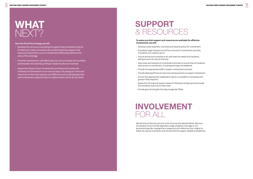- Develop this structure including all support documentation (terms of reference, codes of conduct etc.) and provide the support and resources required to ensure involvement effectively delivers the aims of this strategy
- Promote involvement and effectively recruit to increase the numbers and broaden the diversity of those residents who are involved
- Assess the impact of our involvement activities and review the methods of involvement on an annual basis, focussing our time and resources on the most popular and effective and on developing new and involvement opportunities to replace those which do not work



#### **Over the life of this strategy, we will:**

## **INVOLVEMENT** FOR ALL

# **SUPPORT** & RESOURCES

#### **To make sure that support and resources are available for effective involvement, we will:**

- Develop a clear expenses, incentives and rewards policy for involvement
- Provide/arrange transport to and from venues for involvement activities, if residents are unable to do so
- Ensure venues are accessible to all, and meet the needs of all residents, taking account of cultural diversity
- Vary times and locations of involvement activities to ensure that all residents have access to involvement, including evenings and weekends
- Provide the appropriate staff to support involvement activities
- Provide dedicated financial resources and equipment to support involvement
- Ensure that appropriate independent advice is available to individuals and groups if they require it
- Assess the training and support needs of individuals and groups and provide the necessary resources to meet need
- Provide grant funding for formally recognised TRLAs

We will ensure that we continue to be inclusive and representative. We want all residents to be involved regardless of age, disability, marriage or civil partnership, gender reassignment, pregnancy and maternity, race, religion or belief, sex, sexual orientation and will provide the support needed to enable this.

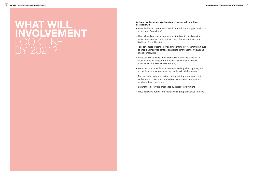# **WHAT WILL INVOLVEMENT**  LOOK LIKE BY 2021?

#### **Resident Involvement at Waltham Forest Housing will be brilliant, because it will:**

- Be embedded across our service with promotion and support available to residents from all staff
- Have a broad range of involvement methods which really work and deliver improvements and positive change for both residents and Waltham Forest Housing
- Take advantage of technology and modern market research techniques to enable as many residents as possible to contribute their views and shape our services
- Be recognised as being amongst the best in Housing, achieving or working towards accreditations for excellence in both Resident Involvement and Resident-Led Scrutiny
- Have clear outcomes for all involvement activity, allowing everyone to clearly see the value of involving residents in all that we do
- Provide and/or sign-post sector-leading training and support that will empower residents to be involved in improving communities, neighbourhoods and homes
- Ensure that all services are shaped by resident involvement
- Have a growing number and more diverse group of involved residents

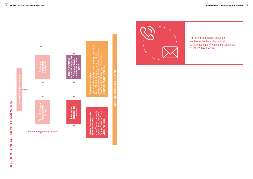



For further information about our involvement options please email us at engagement@walthamforest.gov.uk or call 0208 496 4984